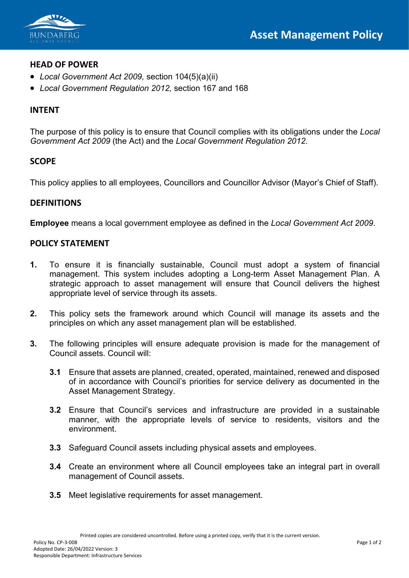

## **HEAD OF POWER**

- *Local Government Act 2009,* section 104(5)(a)(ii)
- *Local Government Regulation 2012,* section 167 and 168

# **INTENT**

The purpose of this policy is to ensure that Council complies with its obligations under the *Local Government Act 2009* (the Act) and the *Local Government Regulation 2012*.

# **SCOPE**

This policy applies to all employees, Councillors and Councillor Advisor (Mayor's Chief of Staff).

## **DEFINITIONS**

**Employee** means a local government employee as defined in the *Local Government Act 2009*.

#### **POLICY STATEMENT**

- **1.** To ensure it is financially sustainable, Council must adopt a system of financial management. This system includes adopting a Long-term Asset Management Plan. A strategic approach to asset management will ensure that Council delivers the highest appropriate level of service through its assets.
- **2.** This policy sets the framework around which Council will manage its assets and the principles on which any asset management plan will be established.
- **3.** The following principles will ensure adequate provision is made for the management of Council assets. Council will:
	- **3.1** Ensure that assets are planned, created, operated, maintained, renewed and disposed of in accordance with Council's priorities for service delivery as documented in the Asset Management Strategy.
	- **3.2** Ensure that Council's services and infrastructure are provided in a sustainable manner, with the appropriate levels of service to residents, visitors and the environment.
	- **3.3** Safeguard Council assets including physical assets and employees.
	- **3.4** Create an environment where all Council employees take an integral part in overall management of Council assets.
	- **3.5** Meet legislative requirements for asset management.

Printed copies are considered uncontrolled. Before using a printed copy, verify that it is the current version.